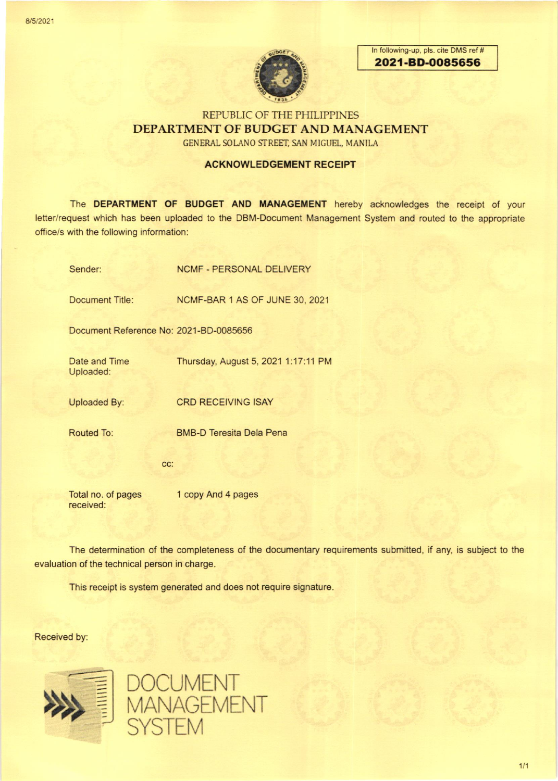

In following-up, pls. cite DMS ref # 2021-BD-0O85656

# REPUBLIC OF THE PHILIPPINES DEPARTMENT OF BUDGET AND MANAGEMENT

GENERAL SOLANO STREET, SAN MIGUEL, MANILA

### ACKNOWLEDGEMENT RECEIPT

The DEPARTMENT OF BUDGET AND MANAGEMENT hereby acknowledges the receipt of your letter/request which has been uploaded to the DBM-Document Management System and routed to the appropriate office/s with the following information:

| Sender:                                | <b>NCMF - PERSONAL DELIVERY</b>     |
|----------------------------------------|-------------------------------------|
| Document Title:                        | NCMF-BAR 1 AS OF JUNE 30, 2021      |
| Document Reference No: 2021-BD-0085656 |                                     |
| Date and Time<br>Uploaded:             | Thursday, August 5, 2021 1:17:11 PM |
| <b>Uploaded By:</b>                    | <b>CRD RECEIVING ISAY</b>           |
| <b>Routed To:</b>                      | <b>BMB-D Teresita Dela Pena</b>     |
| CC:                                    |                                     |
| Total no. of pages<br>received:        | 1 copy And 4 pages                  |

The determination of the completeness of the documentary requirements submitted, if any, is subject to the evaluation of the technical person in charge.

This receipt is system generated and does not require signature.

Received by:



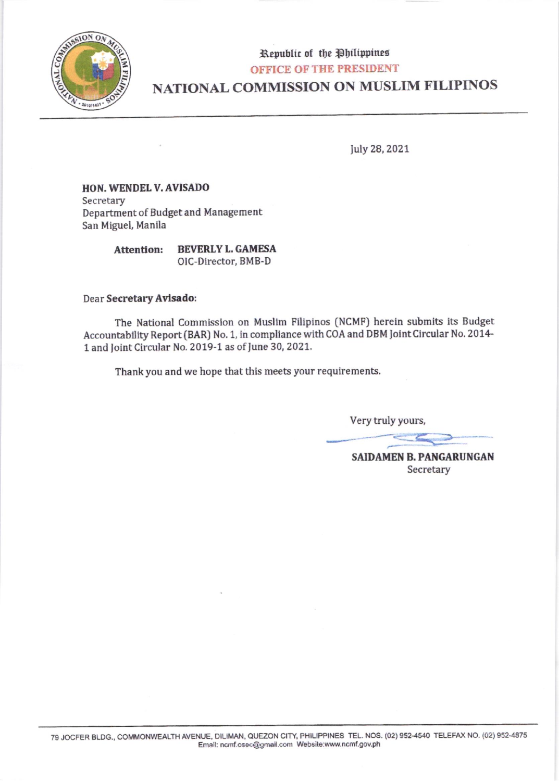

# Republic of the Philippines **OFFICE OF THE PRESIDENT** NATIONAL COMMISSION ON MUSLIM FILIPINOS

July 28, 2021

## HON. WENDEL V. AVISADO Secretary Department of Budget and Management San Miguel, Manila

**BEVERLY L. GAMESA Attention:** OIC-Director, BMB-D

### Dear Secretary Avisado:

The National Commission on Muslim Filipinos (NCMF) herein submits its Budget Accountability Report (BAR) No. 1, in compliance with COA and DBM Joint Circular No. 2014-1 and Joint Circular No. 2019-1 as of June 30, 2021.

Thank you and we hope that this meets your requirements.

Very truly yours,

**SAIDAMEN B. PANGARUNGAN** Secretary